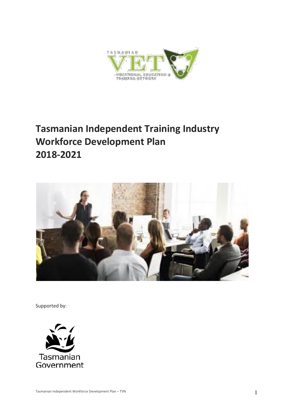

# **Tasmanian Independent Training Industry Workforce Development Plan 2018-2021**



Supported by:

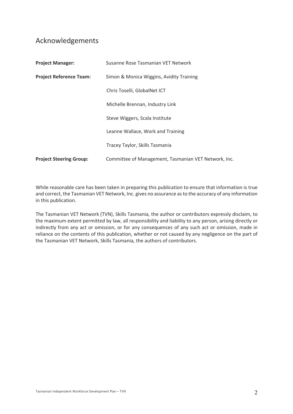# Acknowledgements

| <b>Project Manager:</b>        | Susanne Rose Tasmanian VET Network                   |  |  |
|--------------------------------|------------------------------------------------------|--|--|
| <b>Project Reference Team:</b> | Simon & Monica Wiggins, Avidity Training             |  |  |
|                                | Chris Toselli, GlobalNet ICT                         |  |  |
|                                | Michelle Brennan, Industry Link                      |  |  |
|                                | Steve Wiggers, Scala Institute                       |  |  |
|                                | Leanne Wallace, Work and Training                    |  |  |
|                                | Tracey Taylor, Skills Tasmania                       |  |  |
| <b>Project Steering Group:</b> | Committee of Management, Tasmanian VET Network, Inc. |  |  |

While reasonable care has been taken in preparing this publication to ensure that information is true and correct, the Tasmanian VET Network, Inc. gives no assurance as to the accuracy of any information in this publication.

The Tasmanian VET Network (TVN), Skills Tasmania, the author or contributors expressly disclaim, to the maximum extent permitted by law, all responsibility and liability to any person, arising directly or indirectly from any act or omission, or for any consequences of any such act or omission, made in reliance on the contents of this publication, whether or not caused by any negligence on the part of the Tasmanian VET Network, Skills Tasmania, the authors of contributors.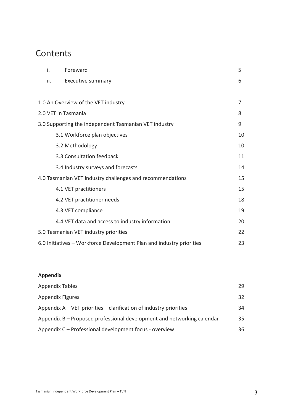# **Contents**

| i.  | Foreward                                                             | 5  |
|-----|----------------------------------------------------------------------|----|
| ii. | <b>Executive summary</b>                                             | 6  |
|     |                                                                      |    |
|     | 1.0 An Overview of the VET industry                                  | 7  |
|     | 2.0 VET in Tasmania                                                  | 8  |
|     | 3.0 Supporting the independent Tasmanian VET industry                | 9  |
|     | 3.1 Workforce plan objectives                                        | 10 |
|     | 3.2 Methodology                                                      | 10 |
|     | 3.3 Consultation feedback                                            | 11 |
|     | 3.4 Industry surveys and forecasts                                   | 14 |
|     | 4.0 Tasmanian VET industry challenges and recommendations            | 15 |
|     | 4.1 VET practitioners                                                | 15 |
|     | 4.2 VET practitioner needs                                           | 18 |
|     | 4.3 VET compliance                                                   | 19 |
|     | 4.4 VET data and access to industry information                      | 20 |
|     | 5.0 Tasmanian VET industry priorities                                | 22 |
|     | 6.0 Initiatives - Workforce Development Plan and industry priorities | 23 |

# **Appendix**

| <b>Appendix Tables</b>                                                 | 29 |
|------------------------------------------------------------------------|----|
| <b>Appendix Figures</b>                                                | 32 |
| Appendix $A - VET$ priorities $-$ clarification of industry priorities | 34 |
| Appendix B – Proposed professional development and networking calendar | 35 |
| Appendix C - Professional development focus - overview                 | 36 |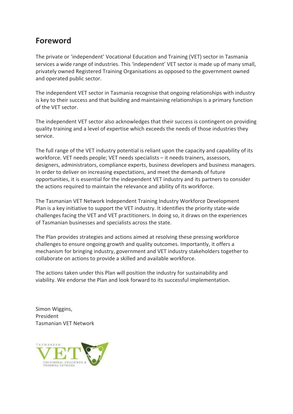# **Foreword**

The private or 'independent' Vocational Education and Training (VET) sector in Tasmania services a wide range of industries. This 'independent' VET sector is made up of many small, privately owned Registered Training Organisations as opposed to the government owned and operated public sector.

The independent VET sector in Tasmania recognise that ongoing relationships with industry is key to their success and that building and maintaining relationships is a primary function of the VET sector.

The independent VET sector also acknowledges that their success is contingent on providing quality training and a level of expertise which exceeds the needs of those industries they service.

The full range of the VET industry potential is reliant upon the capacity and capability of its workforce. VET needs people; VET needs specialists – it needs trainers, assessors, designers, administrators, compliance experts, business developers and business managers. In order to deliver on increasing expectations, and meet the demands of future opportunities, it is essential for the independent VET industry and its partners to consider the actions required to maintain the relevance and ability of its workforce.

The Tasmanian VET Network Independent Training Industry Workforce Development Plan is a key initiative to support the VET industry. It identifies the priority state-wide challenges facing the VET and VET practitioners. In doing so, it draws on the experiences of Tasmanian businesses and specialists across the state.

The Plan provides strategies and actions aimed at resolving these pressing workforce challenges to ensure ongoing growth and quality outcomes. Importantly, it offers a mechanism for bringing industry, government and VET industry stakeholders together to collaborate on actions to provide a skilled and available workforce.

The actions taken under this Plan will position the industry for sustainability and viability. We endorse the Plan and look forward to its successful implementation.

Simon Wiggins, President Tasmanian VET Network

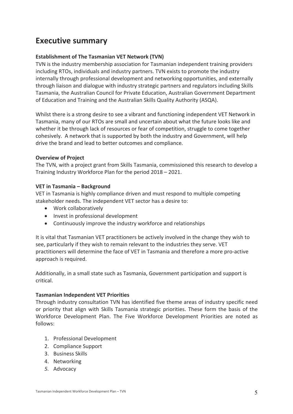# **Executive summary**

# **Establishment of The Tasmanian VET Network (TVN)**

TVN is the industry membership association for Tasmanian independent training providers including RTOs, individuals and industry partners. TVN exists to promote the industry internally through professional development and networking opportunities, and externally through liaison and dialogue with industry strategic partners and regulators including Skills Tasmania, the Australian Council for Private Education, Australian Government Department of Education and Training and the Australian Skills Quality Authority (ASQA).

Whilst there is a strong desire to see a vibrant and functioning independent VET Network in Tasmania, many of our RTOs are small and uncertain about what the future looks like and whether it be through lack of resources or fear of competition, struggle to come together cohesively. A network that is supported by both the industry and Government, will help drive the brand and lead to better outcomes and compliance*.*

# **Overview of Project**

The TVN, with a project grant from Skills Tasmania, commissioned this research to develop a Training Industry Workforce Plan for the period 2018 – 2021.

# **VET in Tasmania – Background**

VET in Tasmania is highly compliance driven and must respond to multiple competing stakeholder needs. The independent VET sector has a desire to:

- Work collaboratively
- Invest in professional development
- Continuously improve the industry workforce and relationships

It is vital that Tasmanian VET practitioners be actively involved in the change they wish to see, particularly if they wish to remain relevant to the industries they serve. VET practitioners will determine the face of VET in Tasmania and therefore a more pro-active approach is required.

Additionally, in a small state such as Tasmania, Government participation and support is critical.

# **Tasmanian Independent VET Priorities**

Through industry consultation TVN has identified five theme areas of industry specific need or priority that align with Skills Tasmania strategic priorities. These form the basis of the Workforce Development Plan. The Five Workforce Development Priorities are noted as follows:

- 1. Professional Development
- 2. Compliance Support
- 3. Business Skills
- 4. Networking
- *5.* Advocacy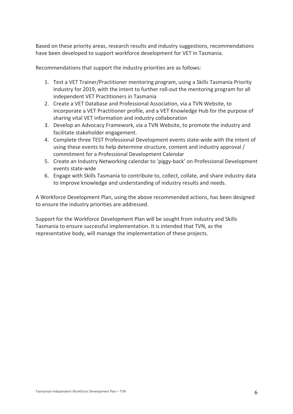Based on these priority areas, research results and industry suggestions, recommendations have been developed to support workforce development for VET in Tasmania.

Recommendations that support the industry priorities are as follows:

- 1. Test a VET Trainer/Practitioner mentoring program, using a Skills Tasmania Priority Industry for 2019, with the intent to further roll-out the mentoring program for all independent VET Practitioners in Tasmania
- 2. Create a VET Database and Professional Association, via a TVN Website, to incorporate a VET Practitioner profile, and a VET Knowledge Hub for the purpose of sharing vital VET information and industry collaboration
- 3. Develop an Advocacy Framework, via a TVN Website, to promote the industry and facilitate stakeholder engagement.
- 4. Complete three TEST Professional Development events state-wide with the intent of using these events to help determine structure, content and industry approval / commitment for a Professional Development Calendar
- 5. Create an Industry Networking calendar to 'piggy-back' on Professional Development events state-wide
- 6. Engage with Skills Tasmania to contribute to, collect, collate, and share industry data to improve knowledge and understanding of industry results and needs.

A Workforce Development Plan, using the above recommended actions, has been designed to ensure the industry priorities are addressed.

Support for the Workforce Development Plan will be sought from industry and Skills Tasmania to ensure successful implementation. It is intended that TVN, as the representative body, will manage the implementation of these projects.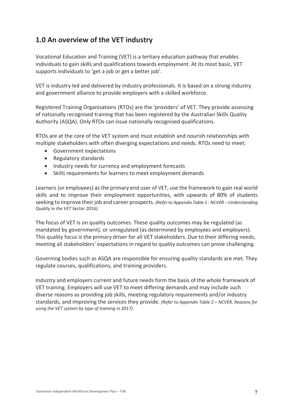# **1.0 An overview of the VET industry**

Vocational Education and Training (VET) is a tertiary education pathway that enables individuals to gain skills and qualifications towards employment. At its most basic, VET supports individuals to 'get a job or get a better job'.

VET is industry led and delivered by industry professionals. It is based on a strong industry and government alliance to provide employers with a skilled workforce.

Registered Training Organisations (RTOs) are the 'providers' of VET. They provide assessing of nationally recognised training that has been registered by the Australian Skills Quality Authority (ASQA). Only RTOs can issue nationally recognised qualifications.

RTOs are at the core of the VET system and must establish and nourish relationships with multiple stakeholders with often diverging expectations and needs. RTOs need to meet:

- Government expectations
- Regulatory standards
- Industry needs for currency and employment forecasts
- Skills requirements for learners to meet employment demands

Learners (or employees) as the primary end user of VET, use the framework to gain real world skills and to improve their employment opportunities, with upwards of 80% of students seeking to improve their job and career prospects*. (Refer to Appendix Table 1 - NCVER – Understanding Quality in the VET Sector 2016).*

The focus of VET is on quality outcomes. These quality outcomes may be regulated (as mandated by government), or unregulated (as determined by employees and employers). This quality focus is the primary driver for all VET stakeholders. Due to their differing needs, meeting all stakeholders' expectations in regard to quality outcomes can prove challenging.

Governing bodies such as ASQA are responsible for ensuring quality standards are met. They regulate courses, qualifications, and training providers.

Industry and employers current and future needs form the basis of the whole framework of VET training. Employers will use VET to meet differing demands and may include such diverse reasons as providing job skills, meeting regulatory requirements and/or industry standards, and improving the services they provide*. (Refer to Appendix Table 2 – NCVER, Reasons for using the VET system by type of training in 2017).*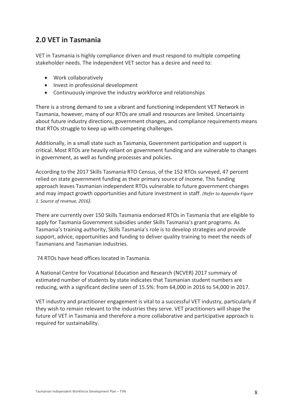# **2.0 VET in Tasmania**

VET in Tasmania is highly compliance driven and must respond to multiple competing stakeholder needs. The independent VET sector has a desire and need to:

- Work collaboratively
- Invest in professional development
- Continuously improve the industry workforce and relationships

There is a strong demand to see a vibrant and functioning independent VET Network in Tasmania, however, many of our RTOs are small and resources are limited. Uncertainty about future industry directions, government changes, and compliance requirements means that RTOs struggle to keep up with competing challenges.

Additionally, in a small state such as Tasmania, Government participation and support is critical. Most RTOs are heavily reliant on government funding and are vulnerable to changes in government, as well as funding processes and policies.

According to the 2017 Skills Tasmania RTO Census, of the 152 RTOs surveyed, 47 percent relied on state government funding as their primary source of income. This funding approach leaves Tasmanian independent RTOs vulnerable to future government changes and may impact growth opportunities and future investment in staff. *(Refer to Appendix Figure 1. Source of revenue, 2016).*

There are currently over 150 Skills Tasmania endorsed RTOs in Tasmania that are eligible to apply for Tasmania Government subsidies under Skills Tasmania's grant programs. As Tasmania's training authority, Skills Tasmania's role is to develop strategies and provide support, advice, opportunities and funding to deliver quality training to meet the needs of Tasmanians and Tasmanian industries.

74 RTOs have head offices located in Tasmania.

A National Centre for Vocational Education and Research (NCVER) 2017 summary of estimated number of students by state indicates that Tasmanian student numbers are reducing, with a significant decline seen of 15.5%: from 64,000 in 2016 to 54,000 in 2017.

VET industry and practitioner engagement is vital to a successful VET industry, particularly if they wish to remain relevant to the industries they serve. VET practitioners will shape the future of VET in Tasmania and therefore a more collaborative and participative approach is required for sustainability.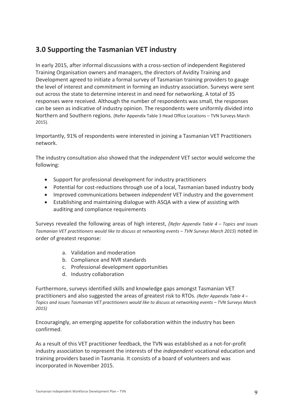# **3.0 Supporting the Tasmanian VET industry**

In early 2015, after informal discussions with a cross-section of independent Registered Training Organisation owners and managers, the directors of Avidity Training and Development agreed to initiate a formal survey of Tasmanian training providers to gauge the level of interest and commitment in forming an industry association. Surveys were sent out across the state to determine interest in and need for networking. A total of 35 responses were received. Although the number of respondents was small, the responses can be seen as indicative of industry opinion. The respondents were uniformly divided into Northern and Southern regions*.* (Refer Appendix Table 3 Head Office Locations – TVN Surveys March 2015).

Importantly, 91% of respondents were interested in joining a Tasmanian VET Practitioners network.

The industry consultation also showed that the *independent* VET sector would welcome the following:

- Support for professional development for industry practitioners
- Potential for cost-reductions through use of a local, Tasmanian based industry body
- Improved communications between *independent* VET industry and the government
- Establishing and maintaining dialogue with ASQA with a view of assisting with auditing and compliance requirements

Surveys revealed the following areas of high interest, *(Refer Appendix Table 4 – Topics and issues Tasmanian VET practitioners would like to discuss at networking events – TVN Surveys March 2015*) noted in order of greatest response:

- a. Validation and moderation
- b. Compliance and NVR standards
- c. Professional development opportunities
- d. Industry collaboration

Furthermore, surveys identified skills and knowledge gaps amongst Tasmanian VET practitioners and also suggested the areas of greatest risk to RTOs. *(Refer Appendix Table 4 – Topics and issues Tasmanian VET practitioners would like to discuss at networking events – TVN Surveys March 2015)* 

Encouragingly, an emerging appetite for collaboration within the industry has been confirmed.

As a result of this VET practitioner feedback, the TVN was established as a not*-*for*-*profit industry association to represent the interests of the *independent* vocational education and training providers based in Tasmania. It consists of a board of volunteers and was incorporated in November 2015.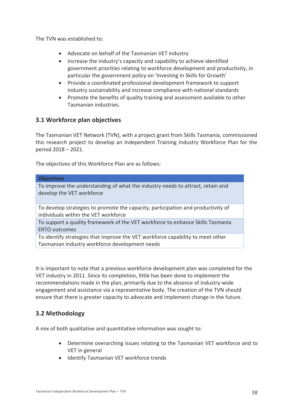The TVN was established to:

- Advocate on behalf of the Tasmanian VET industry
- Increase the industry's capacity and capability to achieve identified government priorities relating to workforce development and productivity, in particular the government policy on 'Investing in Skills for Growth'
- Provide a coordinated professional development framework to support industry sustainability and increase compliance with national standards
- Promote the benefits of quality training and assessment available to other Tasmanian industries.

# **3.1 Workforce plan objectives**

The Tasmanian VET Network (TVN), with a project grant from Skills Tasmania, commissioned this research project to develop an Independent Training Industry Workforce Plan for the period 2018 – 2021.

The objectives of this Workforce Plan are as follows:

### **Objectives**

To improve the understanding of what the industry needs to attract, retain and develop the VET workforce

To develop strategies to promote the capacity, participation and productivity of individuals within the VET workforce

To support a quality framework of the VET workforce to enhance Skills Tasmania ERTO outcomes

To identify strategies that improve the VET workforce capability to meet other Tasmanian industry workforce development needs

It is important to note that a previous workforce development plan was completed for the VET industry in 2011. Since its completion, little has been done to implement the recommendations made in the plan, primarily due to the absence of industry-wide engagement and assistance via a representative body. The creation of the TVN should ensure that there is greater capacity to advocate and implement change in the future.

# **3.2 Methodology**

A mix of both qualitative and quantitative information was sought to:

- Determine overarching issues relating to the Tasmanian VET workforce and to VET in general
- Identify Tasmanian VET workforce trends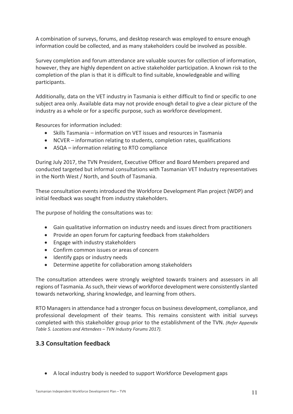A combination of surveys, forums, and desktop research was employed to ensure enough information could be collected, and as many stakeholders could be involved as possible.

Survey completion and forum attendance are valuable sources for collection of information, however, they are highly dependent on active stakeholder participation. A known risk to the completion of the plan is that it is difficult to find suitable, knowledgeable and willing participants.

Additionally, data on the VET industry in Tasmania is either difficult to find or specific to one subject area only. Available data may not provide enough detail to give a clear picture of the industry as a whole or for a specific purpose, such as workforce development.

Resources for information included:

- Skills Tasmania information on VET issues and resources in Tasmania
- NCVER information relating to students, completion rates, qualifications
- ASQA information relating to RTO compliance

During July 2017, the TVN President, Executive Officer and Board Members prepared and conducted targeted but informal consultations with Tasmanian VET Industry representatives in the North West / North, and South of Tasmania.

These consultation events introduced the Workforce Development Plan project (WDP) and initial feedback was sought from industry stakeholders.

The purpose of holding the consultations was to:

- Gain qualitative information on industry needs and issues direct from practitioners
- Provide an open forum for capturing feedback from stakeholders
- Engage with industry stakeholders
- Confirm common issues or areas of concern
- Identify gaps or industry needs
- Determine appetite for collaboration among stakeholders

The consultation attendees were strongly weighted towards trainers and assessors in all regions of Tasmania. As such, their views of workforce development were consistently slanted towards networking, sharing knowledge, and learning from others.

RTO Managers in attendance had a stronger focus on business development, compliance, and professional development of their teams. This remains consistent with initial surveys completed with this stakeholder group prior to the establishment of the TVN. *(Refer Appendix Table 5. Locations and Attendees – TVN Industry Forums 2017).*

# **3.3 Consultation feedback**

• A local industry body is needed to support Workforce Development gaps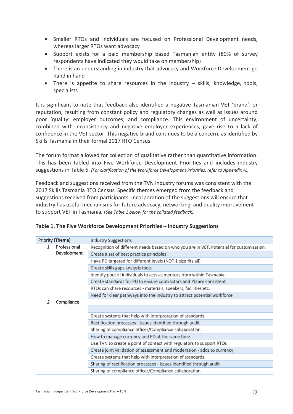- Smaller RTOs and individuals are focused on Professional Development needs, whereas larger RTOs want advocacy
- Support exists for a paid membership based Tasmanian entity (80% of survey respondents have indicated they would take on membership)
- There is an understanding in industry that advocacy and Workforce Development go hand in hand
- There is appetite to share resources in the industry skills, knowledge, tools, specialists

It is significant to note that feedback also identified a negative Tasmanian VET 'brand', or reputation, resulting from constant policy and regulatory changes as well as issues around poor 'quality' employer outcomes, and compliance. This environment of uncertainty, combined with inconsistency and negative employer experiences, gave rise to a lack of confidence in the VET sector. This negative brand continues to be a concern, as identified by Skills Tasmania in their formal 2017 RTO Census.

The forum format allowed for collection of qualitative rather than quantitative information. This has been tabled into Five Workforce Development Priorities and includes industry suggestions in Table 6. *(For clarification of the Workforce Development Priorities, refer to Appendix A).*

Feedback and suggestions received from the TVN industry forums was consistent with the 2017 Skills Tasmania RTO Census. Specific themes emerged from the feedback and suggestions received from participants. Incorporation of the suggestions will ensure that industry has useful mechanisms for future advocacy, networking, and quality improvement to support VET in Tasmania*.* (*See Table 1 below for the collated feedback).*

| Priority (Theme) |              | <b>Industry Suggestions</b>                                                              |
|------------------|--------------|------------------------------------------------------------------------------------------|
| 1.               | Professional | Recognition of different needs based on who you are in VET. Potential for customisation. |
|                  | Development  | Create a set of best practice principles                                                 |
|                  |              | Have PD targeted for different levels (NOT 1 size fits all)                              |
|                  |              | Create skills gaps analysis tools                                                        |
|                  |              | Identify pool of individuals to acts as mentors from within Tasmania                     |
|                  |              | Create standards for PD to ensure contractors and PD are consistent                      |
|                  |              | RTOs can share resources - materials, speakers, facilities etc.                          |
|                  |              | Need for clear pathways into the industry to attract potential workforce                 |
| 2.               | Compliance   |                                                                                          |
|                  |              |                                                                                          |
|                  |              | Create systems that help with interpretation of standards                                |
|                  |              | Rectification processes - issues identified through audit                                |
|                  |              | Sharing of compliance officer/Compliance collaboration                                   |
|                  |              | How to manage currency and PD at the same time                                           |
|                  |              | Use TVN to create a point of contact with regulators to support RTOs                     |
|                  |              | Create joint validation of assessment and moderation - adds to currency                  |
|                  |              | Create systems that help with interpretation of standards                                |
|                  |              | Sharing of rectification processes - issues identified through audit                     |
|                  |              | Sharing of compliance officer/Compliance collaboration                                   |

|  |  | Table 1. The Five Workforce Development Priorities - Industry Suggestions |  |  |  |
|--|--|---------------------------------------------------------------------------|--|--|--|
|--|--|---------------------------------------------------------------------------|--|--|--|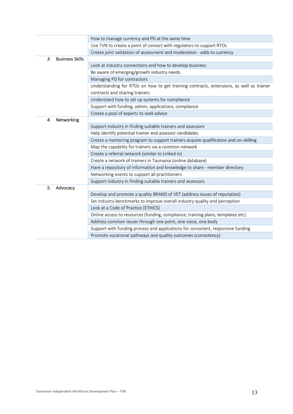|    |                        | How to manage currency and PD at the same time                                          |
|----|------------------------|-----------------------------------------------------------------------------------------|
|    |                        | Use TVN to create a point of contact with regulators to support RTOs                    |
|    |                        | Create joint validation of assessment and moderation - adds to currency                 |
| 3. | <b>Business Skills</b> |                                                                                         |
|    |                        | Look at industry connections and how to develop business                                |
|    |                        | Be aware of emerging/growth industry needs                                              |
|    |                        | Managing PD for contractors                                                             |
|    |                        | Understanding for RTOs on how to get training contracts, extensions, as well as trainer |
|    |                        | contracts and sharing trainers                                                          |
|    |                        | Understand how to set up systems for compliance                                         |
|    |                        | Support with funding, admin, applications, compliance                                   |
|    |                        | Create a pool of experts to seek advice                                                 |
| 4. | Networking             |                                                                                         |
|    |                        | Support industry in finding suitable trainers and assessors                             |
|    |                        | Help identify potential trainer and assessor candidates                                 |
|    |                        | Create a mentoring program to support trainers acquire qualification and on-skilling    |
|    |                        | Map the capability for trainers via a common network                                    |
|    |                        | Create a referral network (similar to Linked in)                                        |
|    |                        | Create a network of trainers in Tasmania (online database)                              |
|    |                        | Have a repository of information and knowledge to share - member directory              |
|    |                        | Networking events to support all practitioners                                          |
|    |                        | Support industry in finding suitable trainers and assessors                             |
| 5. | Advocacy               |                                                                                         |
|    |                        | Develop and promote a quality BRAND of VET (address issues of reputation)               |
|    |                        | Set industry benchmarks to improve overall industry quality and perception              |
|    |                        | Look at a Code of Practice (ETHICS)                                                     |
|    |                        | Online access to resources (funding, compliance, training plans, templates etc)         |
|    |                        | Address common issues through one point, one voice, one body                            |
|    |                        | Support with funding process and applications for consistent, responsive funding        |
|    |                        | Promote vocational pathways and quality outcomes (consistency)                          |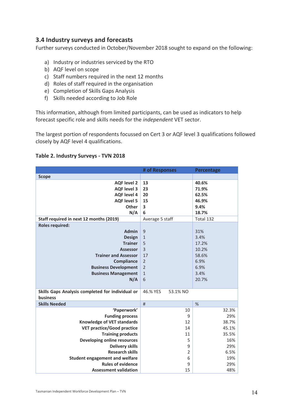# **3.4 Industry surveys and forecasts**

Further surveys conducted in October/November 2018 sought to expand on the following:

- a) Industry or industries serviced by the RTO
- b) AQF level on scope
- c) Staff numbers required in the next 12 months
- d) Roles of staff required in the organisation
- e) Completion of Skills Gaps Analysis
- f) Skills needed according to Job Role

This information, although from limited participants, can be used as indicators to help forecast specific role and skills needs for the *independent* VET sector.

The largest portion of respondents focussed on Cert 3 or AQF level 3 qualifications followed closely by AQF level 4 qualifications.

# **Table 2. Industry Surveys - TVN 2018**

|                                                  | # of Responses       | Percentage |
|--------------------------------------------------|----------------------|------------|
| <b>Scope</b>                                     |                      |            |
| <b>AQF</b> level 2                               | 13                   | 40.6%      |
| <b>AQF level 3</b>                               | 23                   | 71.9%      |
| <b>AQF</b> level 4                               | 20                   | 62.5%      |
| <b>AQF level 5</b>                               | 15                   | 46.9%      |
| Other                                            | 3                    | 9.4%       |
| N/A                                              | 6                    | 18.7%      |
| Staff required in next 12 months (2019)          | Average 5 staff      | Total 132  |
| <b>Roles required:</b>                           |                      |            |
| <b>Admin</b>                                     | 9                    | 31%        |
| <b>Design</b>                                    | $\mathbf{1}$         | 3.4%       |
| <b>Trainer</b>                                   | 5                    | 17.2%      |
| <b>Assessor</b>                                  | $\overline{3}$       | 10.2%      |
| <b>Trainer and Assessor</b>                      | 17                   | 58.6%      |
| <b>Compliance</b>                                | $\overline{2}$       | 6.9%       |
| <b>Business Development</b>                      | $\overline{2}$       | 6.9%       |
| <b>Business Management</b>                       | $\mathbf 1$          | 3.4%       |
| N/A                                              | 6                    | 20.7%      |
|                                                  |                      |            |
| Skills Gaps Analysis completed for individual or | 46.% YES<br>53.1% NO |            |
| business                                         |                      |            |
| <b>Skills Needed</b>                             | #                    | %          |
| 'Paperwork'                                      | 10                   | 32.3%      |
| <b>Funding process</b>                           | 9                    | 29%        |
| <b>Knowledge of VET standards</b>                | 12                   | 38.7%      |
| <b>VET practice/Good practice</b>                | 14                   | 45.1%      |
| <b>Training products</b>                         | 11                   | 35.5%      |
| Developing online resources                      | 5                    | 16%        |
| <b>Delivery skills</b>                           | 9                    | 29%        |
| <b>Research skills</b>                           | $\overline{2}$       | 6.5%       |
| <b>Student engagement and welfare</b>            | 6                    | 19%        |
| <b>Rules of evidence</b>                         | 9                    | 29%        |
| <b>Assessment validation</b>                     | 15                   | 48%        |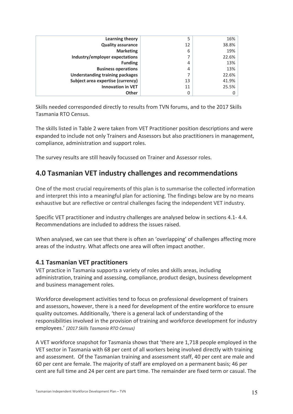| Learning theory                        | 5              | 16%   |
|----------------------------------------|----------------|-------|
| <b>Quality assurance</b>               | 12             | 38.8% |
| <b>Marketing</b>                       | 6              | 19%   |
| Industry/employer expectations         | ⇁              | 22.6% |
| <b>Funding</b>                         | 4              | 13%   |
| <b>Business operations</b>             | $\overline{4}$ | 13%   |
| <b>Understanding training packages</b> |                | 22.6% |
| Subject area expertise (currency)      | 13             | 41.9% |
| <b>Innovation in VET</b>               | 11             | 25.5% |
| <b>Other</b>                           | 0              |       |

Skills needed corresponded directly to results from TVN forums, and to the 2017 Skills Tasmania RTO Census.

The skills listed in Table 2 were taken from VET Practitioner position descriptions and were expanded to include not only Trainers and Assessors but also practitioners in management, compliance, administration and support roles.

The survey results are still heavily focussed on Trainer and Assessor roles.

# **4.0 Tasmanian VET industry challenges and recommendations**

One of the most crucial requirements of this plan is to summarise the collected information and interpret this into a meaningful plan for actioning. The findings below are by no means exhaustive but are reflective or central challenges facing the independent VET industry.

Specific VET practitioner and industry challenges are analysed below in sections 4.1- 4.4. Recommendations are included to address the issues raised.

When analysed, we can see that there is often an 'overlapping' of challenges affecting more areas of the industry. What affects one area will often impact another.

# **4.1 Tasmanian VET practitioners**

VET practice in Tasmania supports a variety of roles and skills areas, including administration, training and assessing, compliance, product design, business development and business management roles.

Workforce development activities tend to focus on professional development of trainers and assessors, however, there is a need for development of the entire workforce to ensure quality outcomes. Additionally, 'there is a general lack of understanding of the responsibilities involved in the provision of training and workforce development for industry employees.' *(2017 Skills Tasmania RTO Census)*

A VET workforce snapshot for Tasmania shows that 'there are 1,718 people employed in the VET sector in Tasmania with 68 per cent of all workers being involved directly with training and assessment. Of the Tasmanian training and assessment staff, 40 per cent are male and 60 per cent are female. The majority of staff are employed on a permanent basis; 46 per cent are full time and 24 per cent are part time. The remainder are fixed term or casual. The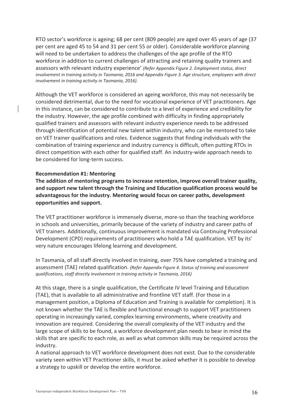RTO sector's workforce is ageing; 68 per cent (809 people) are aged over 45 years of age (37 per cent are aged 45 to 54 and 31 per cent 55 or older). Considerable workforce planning will need to be undertaken to address the challenges of the age profile of the RTO workforce in addition to current challenges of attracting and retaining quality trainers and assessors with relevant industry experience' *(Refer Appendix Figure 2. Employment status, direct involvement in training activity in Tasmania, 2016 and Appendix Figure 3. Age structure, employees with direct involvement in training activity in Tasmania, 2016).*

Although the VET workforce is considered an ageing workforce, this may not necessarily be considered detrimental, due to the need for vocational experience of VET practitioners. Age in this instance, can be considered to contribute to a level of experience and credibility for the industry. However, the age profile combined with difficulty in finding appropriately qualified trainers and assessors with relevant industry experience needs to be addressed through identification of potential new talent within industry, who can be mentored to take on VET trainer qualifications and roles. Evidence suggests that finding individuals with the combination of training experience and industry currency is difficult, often putting RTOs in direct competition with each other for qualified staff. An industry-wide approach needs to be considered for long-term success.

# **Recommendation #1: Mentoring**

**The addition of mentoring programs to increase retention, improve overall trainer quality, and support new talent through the Training and Education qualification process would be advantageous for the industry. Mentoring would focus on career paths, development opportunities and support.**

The VET practitioner workforce is immensely diverse, more-so than the teaching workforce in schools and universities, primarily because of the variety of industry and career paths of VET trainers. Additionally, continuous improvement is mandated via Continuing Professional Development (CPD) requirements of practitioners who hold a TAE qualification. VET by its' very nature encourages lifelong learning and development.

In Tasmania, of all staff directly involved in training, over 75% have completed a training and assessment (TAE) related qualification. *(Refer Appendix Figure 4. Status of training and assessment qualifications, staff directly involvement in training activity in Tasmania, 2016)*

At this stage, there is a single qualification, the Certificate IV level Training and Education (TAE), that is available to all administrative and frontline VET staff. (For those in a management position, a Diploma of Education and Training is available for completion). It is not known whether the TAE is flexible and functional enough to support VET practitioners operating in increasingly varied, complex learning environments, where creativity and innovation are required. Considering the overall complexity of the VET industry and the large scope of skills to be found, a workforce development plan needs to bear in mind the skills that are specific to each role, as well as what common skills may be required across the industry.

A national approach to VET workforce development does not exist. Due to the considerable variety seen within VET Practitioner skills, it must be asked whether it is possible to develop a strategy to upskill or develop the entire workforce.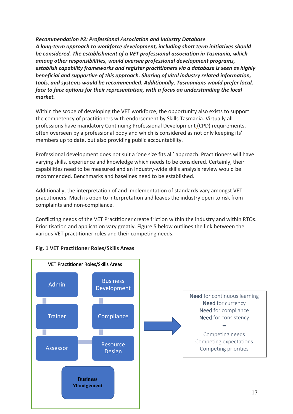*Recommendation #2: Professional Association and Industry Database A long-term approach to workforce development, including short term initiatives should be considered. The establishment of a VET professional association in Tasmania, which among other responsibilities, would oversee professional development programs, establish capability frameworks and register practitioners via a database is seen as highly beneficial and supportive of this approach. Sharing of vital industry related information, tools, and systems would be recommended. Additionally, Tasmanians would prefer local, face to face options for their representation, with a focus on understanding the local market.*

Within the scope of developing the VET workforce, the opportunity also exists to support the competency of practitioners with endorsement by Skills Tasmania. Virtually all professions have mandatory Continuing Professional Development (CPD) requirements, often overseen by a professional body and which is considered as not only keeping its' members up to date, but also providing public accountability.

Professional development does not suit a 'one size fits all' approach. Practitioners will have varying skills, experience and knowledge which needs to be considered. Certainly, their capabilities need to be measured and an industry-wide skills analysis review would be recommended. Benchmarks and baselines need to be established.

Additionally, the interpretation of and implementation of standards vary amongst VET practitioners. Much is open to interpretation and leaves the industry open to risk from complaints and non-compliance.

Conflicting needs of the VET Practitioner create friction within the industry and within RTOs. Prioritisation and application vary greatly. Figure 5 below outlines the link between the various VET practitioner roles and their competing needs.

# **Fig. 1 VET Practitioner Roles/Skills Areas**

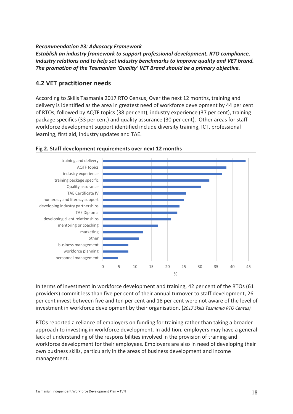# *Recommendation #3: Advocacy Framework*

*Establish an industry framework to support professional development, RTO compliance, industry relations and to help set industry benchmarks to improve quality and VET brand. The promotion of the Tasmanian 'Quality' VET Brand should be a primary objective.*

# **4.2 VET practitioner needs**

According to Skills Tasmania 2017 RTO Census, Over the next 12 months, training and delivery is identified as the area in greatest need of workforce development by 44 per cent of RTOs, followed by AQTF topics (38 per cent), industry experience (37 per cent), training package specifics (33 per cent) and quality assurance (30 per cent). Other areas for staff workforce development support identified include diversity training, ICT, professional learning, first aid, industry updates and TAE.



# **Fig 2. Staff development requirements over next 12 months**

In terms of investment in workforce development and training, 42 per cent of the RTOs (61 providers) commit less than five per cent of their annual turnover to staff development, 26 per cent invest between five and ten per cent and 18 per cent were not aware of the level of investment in workforce development by their organisation. (*2017 Skills Tasmania RTO Census).*

RTOs reported a reliance of employers on funding for training rather than taking a broader approach to investing in workforce development. In addition, employers may have a general lack of understanding of the responsibilities involved in the provision of training and workforce development for their employees. Employers are also in need of developing their own business skills, particularly in the areas of business development and income management.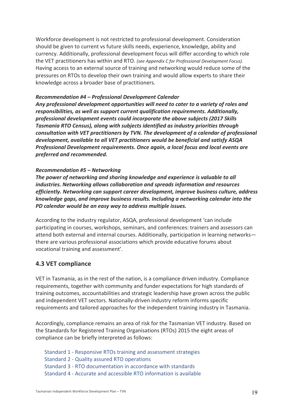Workforce development is not restricted to professional development. Consideration should be given to current vs future skills needs, experience, knowledge, ability and currency. Additionally, professional development focus will differ according to which role the VET practitioners has within and RTO. *(see Appendix C for Professional Development Focus).* Having access to an external source of training and networking would reduce some of the pressures on RTOs to develop their own training and would allow experts to share their knowledge across a broader base of practitioners.

### *Recommendation #4 – Professional Development Calendar*

*Any professional development opportunities will need to cater to a variety of roles and responsibilities, as well as support current qualification requirements. Additionally, professional development events could incorporate the above subjects (2017 Skills Tasmania RTO Census), along with subjects identified as industry priorities through consultation with VET practitioners by TVN. The development of a calendar of professional development, available to all VET practitioners would be beneficial and satisfy ASQA Professional Development requirements. Once again, a local focus and local events are preferred and recommended.*

### *Recommendation #5 – Networking*

*The power of networking and sharing knowledge and experience is valuable to all industries. Networking allows collaboration and spreads information and resources efficiently. Networking can support career development, improve business culture, address knowledge gaps, and improve business results. Including a networking calendar into the PD calendar would be an easy way to address multiple issues.*

According to the industry regulator, ASQA, professional development 'can include participating in courses, workshops, seminars, and conferences: trainers and assessors can attend both external and internal courses. Additionally, participation in learning networks there are various professional associations which provide educative forums about vocational training and assessment'.

# **4.3 VET compliance**

VET in Tasmania, as in the rest of the nation, is a compliance driven industry. Compliance requirements, together with community and funder expectations for high standards of training outcomes, accountabilities and strategic leadership have grown across the public and independent VET sectors. Nationally-driven industry reform informs specific requirements and tailored approaches for the independent training industry in Tasmania.

Accordingly, compliance remains an area of risk for the Tasmanian VET industry. Based on the Standards for Registered Training Organisations (RTOs) 2015 the eight areas of compliance can be briefly interpreted as follows:

Standard 1 - Responsive RTOs training and assessment strategies Standard 2 - Quality assured RTO operations Standard 3 - RTO documentation in accordance with standards Standard 4 - Accurate and accessible RTO information is available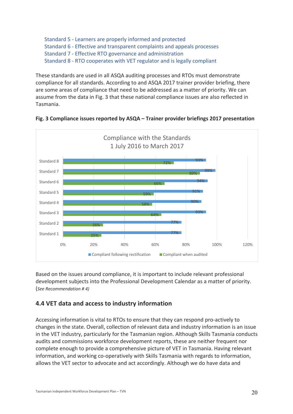```
Standard 5 - Learners are properly informed and protected
Standard 6 - Effective and transparent complaints and appeals processes 
Standard 7 - Effective RTO governance and administration
Standard 8 - RTO cooperates with VET regulator and is legally compliant
```
These standards are used in all ASQA auditing processes and RTOs must demonstrate compliance for all standards. According to and ASQA 2017 trainer provider briefing, there are some areas of compliance that need to be addressed as a matter of priority. We can assume from the data in Fig. 3 that these national compliance issues are also reflected in Tasmania.



**Fig. 3 Compliance issues reported by ASQA – Trainer provider briefings 2017 presentation**

Based on the issues around compliance, it is important to include relevant professional development subjects into the Professional Development Calendar as a matter of priority. (*See Recommendation # 4)*

# **4.4 VET data and access to industry information**

Accessing information is vital to RTOs to ensure that they can respond pro-actively to changes in the state. Overall, collection of relevant data and industry information is an issue in the VET industry, particularly for the Tasmanian region. Although Skills Tasmania conducts audits and commissions workforce development reports, these are neither frequent nor complete enough to provide a comprehensive picture of VET in Tasmania. Having relevant information, and working co-operatively with Skills Tasmania with regards to information, allows the VET sector to advocate and act accordingly. Although we do have data and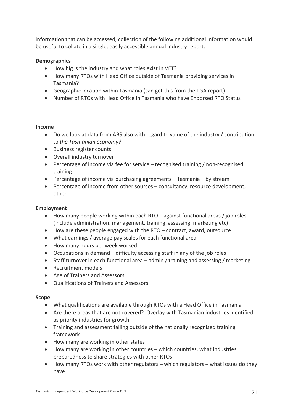information that can be accessed, collection of the following additional information would be useful to collate in a single, easily accessible annual industry report:

# **Demographics**

- How big is the industry and what roles exist in VET?
- How many RTOs with Head Office outside of Tasmania providing services in Tasmania?
- Geographic location within Tasmania (can get this from the TGA report)
- Number of RTOs with Head Office in Tasmania who have Endorsed RTO Status

# **Income**

- Do we look at data from ABS also with regard to value of the industry / contribution to *the Tasmanian economy?*
- Business register counts
- Overall industry turnover
- Percentage of income via fee for service recognised training / non-recognised training
- Percentage of income via purchasing agreements Tasmania by stream
- Percentage of income from other sources consultancy, resource development, other

# **Employment**

- How many people working within each RTO against functional areas / job roles (include administration, management, training, assessing, marketing etc)
- How are these people engaged with the RTO contract, award, outsource
- What earnings / average pay scales for each functional area
- How many hours per week worked
- Occupations in demand difficulty accessing staff in any of the job roles
- Staff turnover in each functional area admin / training and assessing / marketing
- Recruitment models
- Age of Trainers and Assessors
- Qualifications of Trainers and Assessors

### **Scope**

- What qualifications are available through RTOs with a Head Office in Tasmania
- Are there areas that are not covered? Overlay with Tasmanian industries identified as priority industries for growth
- Training and assessment falling outside of the nationally recognised training framework
- How many are working in other states
- How many are working in other countries which countries, what industries, preparedness to share strategies with other RTOs
- How many RTOs work with other regulators which regulators what issues do they have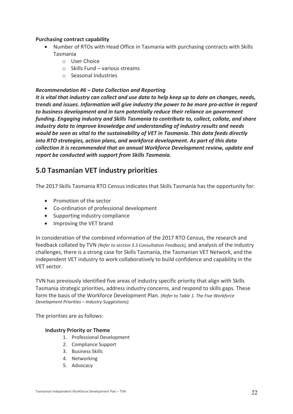# **Purchasing contract capability**

- Number of RTOs with Head Office in Tasmania with purchasing contracts with Skills Tasmania
	- o User Choice
	- $\circ$  Skills Fund various streams
	- o Seasonal Industries

# *Recommendation #6 – Data Collection and Reporting*

*It is vital that industry can collect and use data to help keep up to date on changes, needs, trends and issues. Information will give industry the power to be more pro-active in regard to business development and in turn potentially reduce their reliance on government funding. Engaging industry and Skills Tasmania to contribute to, collect, collate, and share industry data to improve knowledge and understanding of industry results and needs would be seen as vital to the sustainability of VET in Tasmania. This data feeds directly into RTO strategies, action plans, and workforce development. As part of this data collection it is recommended that an annual Workforce Development review, update and report be conducted with support from Skills Tasmania.*

# **5.0 Tasmanian VET industry priorities**

The 2017 Skills Tasmania RTO Census indicates that Skills Tasmania has the opportunity for:

- Promotion of the sector
- Co-ordination of professional development
- Supporting industry compliance
- Improving the VET brand

In consideration of the combined information of the 2017 RTO Census, the research and feedback collated by TVN *(Refer to section 3.3 Consultation Feedback),* and analysis of the industry challenges, there is a strong case for Skills Tasmania, the Tasmanian VET Network, and the independent VET industry to work collaboratively to build confidence and capability in the VET sector.

TVN has previously identified five areas of industry specific priority that align with Skills Tasmania strategic priorities, address industry concerns, and respond to skills gaps. These form the basis of the Workforce Development Plan. *(Refer to Table 1. The Five Workforce Development Priorities – Industry Suggestions).*

The priorities are as follows:

# **Industry Priority or Theme**

- 1. Professional Development
- 2. Compliance Support
- 3. Business Skills
- 4. Networking
- 5. Advocacy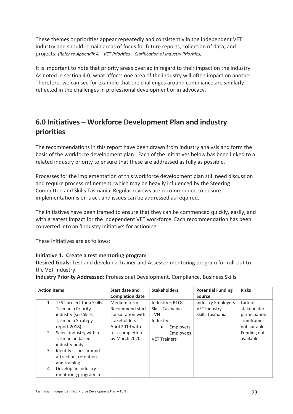These themes or priorities appear repeatedly and consistently in the independent VET industry and should remain areas of focus for future reports, collection of data, and projects. *(Refer to Appendix A – VET Priorities – Clarification of Industry Priorities).*

It is important to note that priority areas overlap in regard to their impact on the industry. As noted in section 4.0, what affects one area of the industry will often impact on another. Therefore, we can see for example that the challenges around compliance are similarly reflected in the challenges in professional development or in advocacy.

# **6.0 Initiatives – Workforce Development Plan and industry priorities**

The recommendations in this report have been drawn from industry analysis and form the basis of the workforce development plan. Each of the initiatives below has been linked to a related industry priority to ensure that these are addressed as fully as possible.

Processes for the implementation of this workforce development plan still need discussion and require process refinement, which may be heavily influenced by the Steering Committee and Skills Tasmania. Regular reviews are recommended to ensure implementation is on track and issues can be addressed as required.

The initiatives have been framed to ensure that they can be commenced quickly, easily, and with greatest impact for the independent VET workforce. Each recommendation has been converted into an 'Industry Initiative' for actioning.

These initiatives are as follows:

# **Initiative 1. Create a test mentoring program**

**Desired Goals:** Test and develop a Trainer and Assessor mentoring program for roll-out to the VET industry.

**Industry Priority Addressed**: Professional Development, Compliance, Business Skills

| <b>Action Items</b> |                                  | Start date and         | <b>Stakeholders</b>           | <b>Potential Funding</b>  | <b>Risks</b>   |
|---------------------|----------------------------------|------------------------|-------------------------------|---------------------------|----------------|
|                     |                                  | <b>Completion date</b> |                               | Source                    |                |
| 1.                  | <b>TEST project for a Skills</b> | Medium term.           | Industry – RTOs               | <b>Industry Employers</b> | Lack of        |
|                     | Tasmania Priority                | Recommend start        | Skills Tasmania               | <b>VET Industry</b>       | stakeholder    |
|                     | industry (see Skills             | consultation with      | TVN                           | Skills Tasmania           | participation. |
|                     | Tasmania Strategy                | stakeholders           | Industry:                     |                           | Timeframes     |
|                     | report 2018)                     | April 2019 with        | <b>Employers</b><br>$\bullet$ |                           | not suitable.  |
| 2.                  | Select industry with a           | test completion        | Employees                     |                           | Funding not    |
|                     | Tasmanian based                  | by March 2020.         | <b>VET Trainers</b>           |                           | available.     |
|                     | industry body                    |                        |                               |                           |                |
| 3.                  | Identify issues around           |                        |                               |                           |                |
|                     | attraction, retention            |                        |                               |                           |                |
|                     | and training                     |                        |                               |                           |                |
| 4.                  | Develop an industry              |                        |                               |                           |                |
|                     | mentoring program in             |                        |                               |                           |                |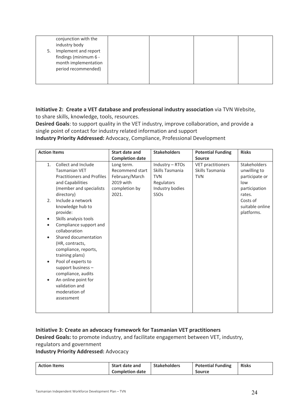| 5. | conjunction with the<br>industry body<br>Implement and report<br>findings (minimum 6 -<br>month implementation<br>period recommended) |  |  |
|----|---------------------------------------------------------------------------------------------------------------------------------------|--|--|
|    |                                                                                                                                       |  |  |

# **Initiative 2: Create a VET database and professional industry association** via TVN Website, to share skills, knowledge, tools, resources.

**Desired Goals**: to support quality in the VET industry, improve collaboration, and provide a single point of contact for industry related information and support

**Industry Priority Addressed:** Advocacy, Compliance, Professional Development

| <b>Action Items</b> |                                                                                                                                                                                                                                                         | <b>Start date and</b>                                                                  | <b>Stakeholders</b>                                                                       | <b>Potential Funding</b>                                  | <b>Risks</b>                                                                            |
|---------------------|---------------------------------------------------------------------------------------------------------------------------------------------------------------------------------------------------------------------------------------------------------|----------------------------------------------------------------------------------------|-------------------------------------------------------------------------------------------|-----------------------------------------------------------|-----------------------------------------------------------------------------------------|
|                     |                                                                                                                                                                                                                                                         | <b>Completion date</b>                                                                 |                                                                                           | <b>Source</b>                                             |                                                                                         |
| 1.                  | Collect and Include<br><b>Tasmanian VET</b><br><b>Practitioners and Profiles</b><br>and Capabilities<br>(member and specialists<br>directory)                                                                                                           | Long term.<br>Recommend start<br>February/March<br>2019 with<br>completion by<br>2021. | Industry - RTOs<br>Skills Tasmania<br><b>TVN</b><br>Regulators<br>Industry bodies<br>SSOs | <b>VET practitioners</b><br>Skills Tasmania<br><b>TVN</b> | <b>Stakeholders</b><br>unwilling to<br>participate or<br>low<br>participation<br>rates. |
| 2.<br>$\bullet$     | Include a network<br>knowledge hub to<br>provide:<br>Skills analysis tools<br>Compliance support and<br>collaboration<br>Shared documentation<br>(HR, contracts,<br>compliance, reports,<br>training plans)<br>Pool of experts to<br>support business - |                                                                                        |                                                                                           |                                                           | Costs of<br>suitable online<br>platforms.                                               |
|                     | compliance, audits<br>An online point for<br>validation and<br>moderation of<br>assessment                                                                                                                                                              |                                                                                        |                                                                                           |                                                           |                                                                                         |

# **Initiative 3: Create an advocacy framework for Tasmanian VET practitioners**

**Desired Goals:** to promote industry, and facilitate engagement between VET, industry,

regulators and government

# **Industry Priority Addressed:** Advocacy

| <b>Action Items</b> | <b>Start date and</b>  | <b>Stakeholders</b> | <b>Potential Funding</b> | <b>Risks</b> |
|---------------------|------------------------|---------------------|--------------------------|--------------|
|                     | <b>Completion date</b> |                     | <b>Source</b>            |              |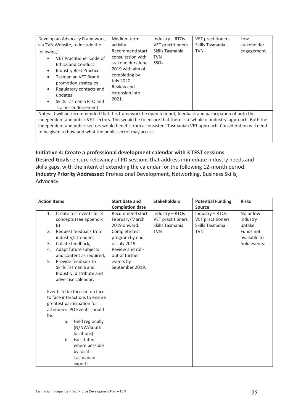| Develop an Advocacy Framework,<br>via TVN Website, to include the<br>following:<br>VET Practitioner Code of<br><b>Ethics and Conduct</b><br><b>Industry Best Practice</b><br>$\bullet$<br>Tasmanian VET Brand<br>$\bullet$<br>promotion strategies<br>Regulatory contacts and<br>$\bullet$<br>updates<br>Skills Tasmania RTO and<br>$\bullet$ | Medium term<br>activity.<br>Recommend start<br>consultation with<br>stakeholders June<br>2019 with aim of<br>completing by<br>July 2020.<br>Review and<br>extension into<br>2021. | Industry - RTOs<br><b>VET practitioners</b><br>Skills Tasmania<br><b>TVN</b><br>SSO <sub>S</sub> | <b>VET practitioners</b><br>Skills Tasmania<br><b>TVN</b> | Low<br>stakeholder<br>engagement. |  |  |
|-----------------------------------------------------------------------------------------------------------------------------------------------------------------------------------------------------------------------------------------------------------------------------------------------------------------------------------------------|-----------------------------------------------------------------------------------------------------------------------------------------------------------------------------------|--------------------------------------------------------------------------------------------------|-----------------------------------------------------------|-----------------------------------|--|--|
| Trainer endorsement                                                                                                                                                                                                                                                                                                                           |                                                                                                                                                                                   |                                                                                                  |                                                           |                                   |  |  |
| Notes: It will be recommended that this framework be open to input, feedback and participation of both the<br>independent and public VET sectors. This would be to ensure that there is a 'whole of industry' approach. Both the                                                                                                              |                                                                                                                                                                                   |                                                                                                  |                                                           |                                   |  |  |

independent and public VET sectors. This would be to ensure that there is a 'whole of industry' approach. Both the independent and public sectors would benefit from a consistent Tasmanian VET approach. Consideration will need to be given to how and what the public sector may access.

# **Initiative 4: Create a professional development calendar with 3 TEST sessions**

**Desired Goals:** ensure relevancy of PD sessions that address immediate industry needs and skills gaps, with the intent of extending the calendar for the following 12-month period. **Industry Priority Addressed:** Professional Development, Networking, Business Skills, Advocacy

| <b>Action Items</b> |    |                                             | Start date and                  | <b>Stakeholders</b>      | <b>Potential Funding</b> | <b>Risks</b>              |
|---------------------|----|---------------------------------------------|---------------------------------|--------------------------|--------------------------|---------------------------|
|                     |    |                                             | <b>Completion date</b>          |                          | <b>Source</b>            |                           |
| 1.                  |    | Create test events for 3                    | Recommend start                 | Industry - RTOs          | Industry - RTOs          | No or low                 |
|                     |    | concepts (see appendix                      | February/March                  | <b>VET practitioners</b> | <b>VET practitioners</b> | industry                  |
|                     | B) |                                             | 2019 onward.                    | Skills Tasmania          | Skills Tasmania          | uptake.                   |
| 2.                  |    | Request feedback from<br>industry/attendees | Complete test<br>program by end | <b>TVN</b>               | <b>TVN</b>               | Funds not<br>available to |
| 3.                  |    | Collate feedback,                           | of July 2019.                   |                          |                          | hold events.              |
| 4.                  |    | Adapt future subjects                       | Review and roll-                |                          |                          |                           |
|                     |    | and content as required,                    | out of further                  |                          |                          |                           |
| 5.                  |    | Provide feedback to                         | events by                       |                          |                          |                           |
|                     |    | Skills Tasmania and                         | September 2019.                 |                          |                          |                           |
|                     |    | Industry, distribute and                    |                                 |                          |                          |                           |
|                     |    | advertise calendar.                         |                                 |                          |                          |                           |
|                     |    |                                             |                                 |                          |                          |                           |
|                     |    | Events to be focused on face                |                                 |                          |                          |                           |
|                     |    | to face interactions to ensure              |                                 |                          |                          |                           |
|                     |    | greatest participation for                  |                                 |                          |                          |                           |
|                     |    | attendees. PD Events should                 |                                 |                          |                          |                           |
| be:                 |    |                                             |                                 |                          |                          |                           |
|                     | a. | Held regionally                             |                                 |                          |                          |                           |
|                     |    | (N/NW/South                                 |                                 |                          |                          |                           |
|                     |    | locations)                                  |                                 |                          |                          |                           |
|                     | b. | Facilitated                                 |                                 |                          |                          |                           |
|                     |    | where possible                              |                                 |                          |                          |                           |
|                     |    | by local                                    |                                 |                          |                          |                           |
|                     |    | Tasmanian                                   |                                 |                          |                          |                           |
|                     |    | experts                                     |                                 |                          |                          |                           |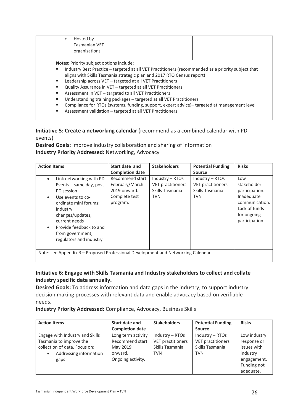| Hosted by<br>c.<br><b>Tasmanian VET</b><br>organisations                                                                                                                                                                                                                                                                                                                                                          |  |                                                                                                                                                                                                   |  |
|-------------------------------------------------------------------------------------------------------------------------------------------------------------------------------------------------------------------------------------------------------------------------------------------------------------------------------------------------------------------------------------------------------------------|--|---------------------------------------------------------------------------------------------------------------------------------------------------------------------------------------------------|--|
| <b>Notes:</b> Priority subject options include:                                                                                                                                                                                                                                                                                                                                                                   |  |                                                                                                                                                                                                   |  |
| aligns with Skills Tasmania strategic plan and 2017 RTO Census report)<br>Leadership across VET - targeted at all VET Practitioners<br>л.<br>Quality Assurance in VET - targeted at all VET Practitioners<br>Assessment in VET - targeted to all VET Practitioners<br>٠<br>Understanding training packages - targeted at all VET Practitioners<br>Assessment validation - targeted at all VET Practitioners<br>п. |  | Industry Best Practice - targeted at all VET Practitioners (recommended as a priority subject that<br>Compliance for RTOs (systems, funding, support, expert advice)-targeted at management level |  |

# **Initiative 5: Create a networking calendar** (recommend as a combined calendar with PD events)

**Desired Goals:** improve industry collaboration and sharing of information **Industry Priority Addressed:** Networking, Advocacy

| <b>Action Items</b>                                                                                                                                                                                                                                                 | Start date and<br><b>Completion date</b>                                       | <b>Stakeholders</b>                                                            | <b>Potential Funding</b><br><b>Source</b>                                      | <b>Risks</b>                                                                                                           |
|---------------------------------------------------------------------------------------------------------------------------------------------------------------------------------------------------------------------------------------------------------------------|--------------------------------------------------------------------------------|--------------------------------------------------------------------------------|--------------------------------------------------------------------------------|------------------------------------------------------------------------------------------------------------------------|
| Link networking with PD<br>$\bullet$<br>Events - same day, post<br>PD session<br>Use events to co-<br>ordinate mini forums:<br>industry<br>changes/updates,<br>current needs<br>Provide feedback to and<br>$\bullet$<br>from government,<br>regulators and industry | Recommend start<br>February/March<br>2019 onward.<br>Complete test<br>program. | Industry $-$ RTOs<br><b>VET practitioners</b><br>Skills Tasmania<br><b>TVN</b> | $Industry - RTOs$<br><b>VET practitioners</b><br>Skills Tasmania<br><b>TVN</b> | Low<br>stakeholder<br>participation.<br>Inadequate<br>communication.<br>Lack of funds<br>for ongoing<br>participation. |
| Note: see Appendix B - Proposed Professional Development and Networking Calendar                                                                                                                                                                                    |                                                                                |                                                                                |                                                                                |                                                                                                                        |

# **Initiative 6: Engage with Skills Tasmania and Industry stakeholders to collect and collate industry specific data annually.**

**Desired Goals:** To address information and data gaps in the industry; to support industry decision making processes with relevant data and enable advocacy based on verifiable needs.

**Industry Priority Addressed:** Compliance, Advocacy, Business Skills

| <b>Action Items</b>                 | Start date and<br><b>Completion date</b> | <b>Stakeholders</b> | <b>Potential Funding</b><br><b>Source</b> | <b>Risks</b> |
|-------------------------------------|------------------------------------------|---------------------|-------------------------------------------|--------------|
| Engage with Industry and Skills     | Long term activity                       | $Industry - RTOs$   | $Industry - RTOs$                         | Low industry |
| Tasmania to improve the             | Recommend start                          | VET practitioners   | <b>VET practitioners</b>                  | response or  |
| collection of data. Focus on:       | May 2019                                 | Skills Tasmania     | Skills Tasmania                           | issues with  |
| Addressing information<br>$\bullet$ | onward.                                  | <b>TVN</b>          | TVN                                       | industry     |
| gaps                                | Ongoing activity.                        |                     |                                           | engagement.  |
|                                     |                                          |                     |                                           | Funding not  |
|                                     |                                          |                     |                                           | adequate.    |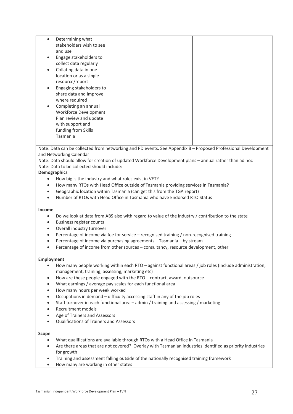| Determining what<br>$\bullet$<br>stakeholders wish to see<br>and use<br>Engage stakeholders to<br>$\bullet$<br>collect data regularly<br>Collating data in one<br>$\bullet$<br>location or as a single<br>resource/report<br>Engaging stakeholders to<br>$\bullet$<br>share data and improve |  |  |
|----------------------------------------------------------------------------------------------------------------------------------------------------------------------------------------------------------------------------------------------------------------------------------------------|--|--|
| where required                                                                                                                                                                                                                                                                               |  |  |
| Completing an annual<br>Workforce Development<br>Plan review and update<br>with support and<br>funding from Skills<br>Tasmania                                                                                                                                                               |  |  |

Note: Data can be collected from networking and PD events. See Appendix B – Proposed Professional Development and Networking Calendar

Note: Data should allow for creation of updated Workforce Development plans – annual rather than ad hoc Note: Data to be collected should include:

### **Demographics**

- How big is the industry and what roles exist in VET?
- How many RTOs with Head Office outside of Tasmania providing services in Tasmania?
- Geographic location within Tasmania (can get this from the TGA report)
- Number of RTOs with Head Office in Tasmania who have Endorsed RTO Status

#### **Income**

- Do we look at data from ABS also with regard to value of the industry / contribution to the state
- Business register counts
- Overall industry turnover
- Percentage of income via fee for service recognised training / non-recognised training
- Percentage of income via purchasing agreements Tasmania by stream
- Percentage of income from other sources consultancy, resource development, other

#### **Employment**

- How many people working within each RTO against functional areas / job roles (include administration, management, training, assessing, marketing etc)
- How are these people engaged with the RTO contract, award, outsource
- What earnings / average pay scales for each functional area
- How many hours per week worked
- Occupations in demand difficulty accessing staff in any of the job roles
- Staff turnover in each functional area admin / training and assessing / marketing
- Recruitment models
- Age of Trainers and Assessors
- Qualifications of Trainers and Assessors

#### **Scope**

- What qualifications are available through RTOs with a Head Office in Tasmania
- Are there areas that are not covered? Overlay with Tasmanian industries identified as priority industries for growth
- Training and assessment falling outside of the nationally recognised training framework
- How many are working in other states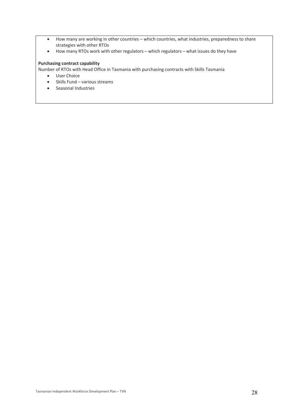- How many are working in other countries which countries, what industries, preparedness to share strategies with other RTOs
- How many RTOs work with other regulators which regulators what issues do they have

### **Purchasing contract capability**

Number of RTOs with Head Office in Tasmania with purchasing contracts with Skills Tasmania

- User Choice
- Skills Fund various streams
- Seasonal Industries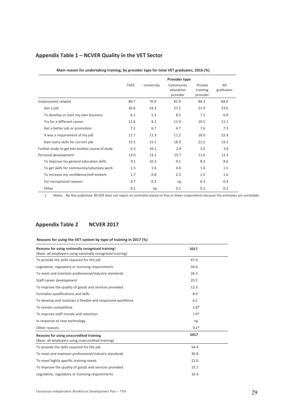# **Appendix Table 1 – NCVER Quality in the VET Sector**

|                                                    | <b>TAFE</b> | University | Provider type<br>Community<br>education<br>provider | Private<br>training<br>provider | All<br>graduates |
|----------------------------------------------------|-------------|------------|-----------------------------------------------------|---------------------------------|------------------|
| <b>Employment related</b>                          | 80.7        | 70.9       | 81.9                                                | 86.3                            | 84.0             |
| Get a job                                          | 26.6        | 24.3       | 27.2                                                | 21.9                            | 23.6             |
| To develop or start my own business                | 6.2         | 5.2        | 8.5                                                 | 7.2                             | 6.9              |
| Try for a different career                         | 12.6        | 8.2        | 11.9                                                | 10.5                            | 11.1             |
| Get a better job or promotion                      | 7.1         | 6.7        | 4.7                                                 | 7.6                             | 7.3              |
| It was a requirement of my job                     | 12.7        | 11.3       | 11.2                                                | 18.0                            | 15.9             |
| Gain extra skills for current job                  | 15.5        | 15.1       | 18.3                                                | 21.2                            | 19.2             |
| Further study: to get into another course of study | 6.3         | 16.1       | 2.4                                                 | 2.0                             | 3.8              |
| Personal development                               | 13.0        | 13.1       | 15.7                                                | 11.6                            | 12.3             |
| To improve my general education skills             | 9.1         | 10.3       | 9.1                                                 | 8.3                             | 8.6              |
| To get skills for community/voluntary work         | 1.5         | 1.6        | 4.0                                                 | 1.4                             | 1.5              |
| To increase my confidence/self-esteem              | 1.7         | 0.8        | 2.3                                                 | 1.5                             | 1.6              |
| For recreational reasons                           | 0.7         | 0.3        | np                                                  | 0.3                             | 0.4              |
| Other                                              | 0.1         | np         | 0.2                                                 | 0.2                             | 0.2              |

#### **Main reason for undertaking training, by provider type for total VET graduates, 2016 (%)**

1. Notes: Np Not published. NCVER does not report on estimates based on five or fewer respondents because the estimates are unreliable.

# **Appendix Table 2 NCVER 2017**

#### **Reasons for using the VET system by type of training in 2017 (%)**

| Reasons for using nationally recognised training <sup>1</sup><br>(Base: all employers using nationally recognised training) | 2017   |  |
|-----------------------------------------------------------------------------------------------------------------------------|--------|--|
| To provide the skills required for the job                                                                                  | 47.0   |  |
| Legislative, regulatory or licensing requirements                                                                           | 34.6   |  |
| To meet and maintain professional/industry standards                                                                        | 26.3   |  |
| Staff career development                                                                                                    | 25.5   |  |
| To improve the quality of goods and services provided                                                                       | 12.3   |  |
| Formalise qualifications and skills                                                                                         | 8.9    |  |
| To develop and maintain a flexible and responsive workforce                                                                 | 6.1    |  |
| To remain competitive                                                                                                       | $2.8*$ |  |
| To improve staff morale and retention                                                                                       | $1.9*$ |  |
| In response to new technology                                                                                               | np     |  |
| Other reasons                                                                                                               | $3.2*$ |  |
| Reasons for using unaccredited training<br>(Base: all employers using unaccredited training)                                | 2017   |  |
| To provide the skills required for the job                                                                                  | 54.4   |  |
| To meet and maintain professional/industry standards                                                                        | 30.8   |  |
| To meet highly specific training needs                                                                                      | 22.0   |  |
| To improve the quality of goods and services provided                                                                       | 15.7   |  |
| Legislative, regulatory or licensing requirements                                                                           | 16.4   |  |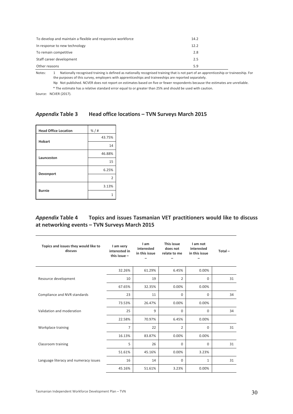| To develop and maintain a flexible and responsive workforce | 14.2 |  |
|-------------------------------------------------------------|------|--|
| In response to new technology                               | 12.2 |  |
| To remain competitive                                       | 2.8  |  |
| Staff career development                                    | 2.5  |  |
| Other reasons                                               | 5.9  |  |

Notes: 1 Nationally recognised training is defined as nationally recognised training that is not part of an apprenticeship or traineeship. For the purposes of this survey, employers with apprenticeships and traineeships are reported separately.

Np Not published. NCVER does not report on estimates based on five or fewer respondents because the estimates are unreliable.

\* The estimate has a relative standard error equal to or greater than 25% and should be used with caution.

Source: NCVER (2017).

### *Appendix* **Table 3 Head office locations – TVN Surveys March 2015**

| <b>Head Office Location</b> | $% / \#$       |
|-----------------------------|----------------|
| <b>Hobart</b>               | 43.75%         |
|                             | 14             |
|                             | 46.88%         |
| Launceston                  | 15             |
|                             | 6.25%          |
| Devonport                   | $\overline{2}$ |
|                             | 3.13%          |
| <b>Burnie</b>               | 1              |

# *Appendix* **Table 4 Topics and issues Tasmanian VET practitioners would like to discuss at networking events – TVN Surveys March 2015**

| Topics and issues they would like to<br>discuss | I am very<br>interested in<br>this issue $-$ | I am<br>interested<br>in this issue | This issue<br>does not<br>relate to me | I am not<br>interested<br>in this issue | $Total -$ |
|-------------------------------------------------|----------------------------------------------|-------------------------------------|----------------------------------------|-----------------------------------------|-----------|
|                                                 | 32.26%                                       | 61.29%                              | 6.45%                                  | 0.00%                                   |           |
| Resource development                            | 10                                           | 19                                  | 2                                      | $\mathbf 0$                             | 31        |
|                                                 | 67.65%                                       | 32.35%                              | 0.00%                                  | 0.00%                                   |           |
| Compliance and NVR standards                    | 23                                           | 11                                  | $\mathbf 0$                            | $\mathbf 0$                             | 34        |
|                                                 | 73.53%                                       | 26.47%                              | 0.00%                                  | 0.00%                                   |           |
| Validation and moderation                       | 25                                           | 9                                   | $\Omega$                               | $\Omega$                                | 34        |
|                                                 | 22.58%                                       | 70.97%                              | 6.45%                                  | 0.00%                                   |           |
| Workplace training                              | 7                                            | 22                                  | $\overline{2}$                         | $\mathbf 0$                             | 31        |
|                                                 | 16.13%                                       | 83.87%                              | 0.00%                                  | 0.00%                                   |           |
| Classroom training                              | 5                                            | 26                                  | $\Omega$                               | $\Omega$                                | 31        |
|                                                 | 51.61%                                       | 45.16%                              | 0.00%                                  | 3.23%                                   |           |
| Language literacy and numeracy issues           | 16                                           | 14                                  | $\mathbf 0$                            | 1                                       | 31        |
|                                                 | 45.16%                                       | 51.61%                              | 3.23%                                  | 0.00%                                   |           |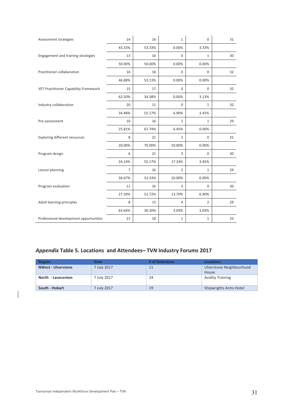| Assessment strategies                        | 14             | 16     | $\mathbf{1}$   | $\mathsf 0$    | 31 |
|----------------------------------------------|----------------|--------|----------------|----------------|----|
|                                              | 43.33%         | 53.33% | 0.00%          | 3.33%          |    |
| Engagement and training strategies           | 13             | 16     | $\mathbf 0$    | $\mathbf{1}$   | 30 |
|                                              | 50.00%         | 50.00% | 0.00%          | 0.00%          |    |
| Practitioner collaboration                   | 16             | 16     | $\mathbf 0$    | $\mathbf 0$    | 32 |
|                                              | 46.88%         | 53.13% | 0.00%          | 0.00%          |    |
| <b>VET Practitioner Capability Framework</b> | 15             | 17     | $\mathbf 0$    | $\mathbf 0$    | 32 |
|                                              | 62.50%         | 34.38% | 0.00%          | 3.13%          |    |
| Industry collaboration                       | 20             | 11     | $\mathbf 0$    | $\mathbf{1}$   | 32 |
|                                              | 34.48%         | 55.17% | 6.90%          | 3.45%          |    |
| Pre-assessment                               | 10             | 16     | $\overline{2}$ | $\mathbf{1}$   | 29 |
|                                              | 25.81%         | 67.74% | 6.45%          | 0.00%          |    |
| <b>Exploring different resources</b>         | 8              | 21     | $\overline{2}$ | $\mathbf 0$    | 31 |
|                                              | 20.00%         | 70.00% | 10.00%         | 0.00%          |    |
| Program design                               | 6              | 21     | 3              | $\mathbf 0$    | 30 |
|                                              | 24.14%         | 55.17% | 17.24%         | 3.45%          |    |
| Lesson planning                              | $\overline{7}$ | 16     | 5              | $\mathbf{1}$   | 29 |
|                                              | 36.67%         | 53.33% | 10.00%         | 0.00%          |    |
| Program evaluation                           | 11             | 16     | 3              | 0              | 30 |
|                                              | 27.59%         | 51.72% | 13.79%         | 6.90%          |    |
| Adult learning principles                    | 8              | 15     | 4              | $\overline{2}$ | 29 |
|                                              | 63.64%         | 30.30% | 3.03%          | 3.03%          |    |
| Professional development opportunities       | 21             | 10     | $\mathbf 1$    | $\mathbf 1$    | 33 |

# *Appendix* **Table 5. Locations and Attendees– TV***N* **Industry Forums 2017**

| Region                    | <b>Date</b> | # of Attendees | <b>Locations</b>         |
|---------------------------|-------------|----------------|--------------------------|
| <b>NWest - Ulverstone</b> | 7 July 2017 | 11             | Ulverstone Neighbourhood |
|                           |             |                | House                    |
| North - Launceston        | 7 July 2017 | 24             | <b>Avidity Training</b>  |
|                           |             |                |                          |
| South - Hobart            | 7 July 2017 | 19             | Shipwrights Arms Hotel   |

 $\overline{\phantom{a}}$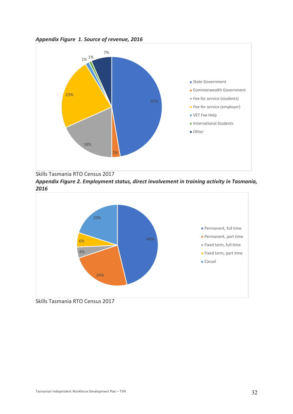



Skills Tasmania RTO Census 2017

*Appendix Figure 2. Employment status, direct involvement in training activity in Tasmania, 2016*



Skills Tasmania RTO Census 2017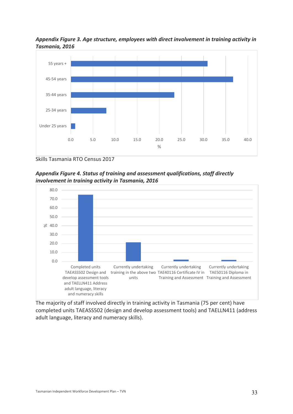# *Appendix Figure 3. Age structure, employees with direct involvement in training activity in Tasmania, 2016*



Skills Tasmania RTO Census 2017





The majority of staff involved directly in training activity in Tasmania (75 per cent) have completed units TAEASS502 (design and develop assessment tools) and TAELLN411 (address adult language, literacy and numeracy skills).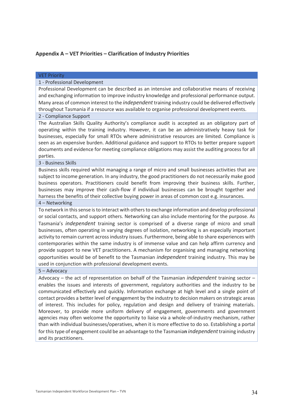# **Appendix A – VET Priorities – Clarification of Industry Priorities**

#### VET Priority

#### 1 - Professional Development

Professional Development can be described as an intensive and collaborative means of receiving and exchanging information to improve industry knowledge and professional performance output. Many areas of common interest to the *independent*training industry could be delivered effectively throughout Tasmania if a resource was available to organise professional development events.

#### 2 - Compliance Support

The Australian Skills Quality Authority's compliance audit is accepted as an obligatory part of operating within the training industry. However, it can be an administratively heavy task for businesses, especially for small RTOs where administrative resources are limited. Compliance is seen as an expensive burden. Additional guidance and support to RTOs to better prepare support documents and evidence for meeting compliance obligations may assist the auditing process for all parties.

#### 3 - Business Skills

Business skills required whilst managing a range of micro and small businesses activities that are subject to income generation. In any industry, the good practitioners do not necessarily make good business operators. Practitioners could benefit from improving their business skills. Further, businesses may improve their cash-flow if individual businesses can be brought together and harness the benefits of their collective buying power in areas of common cost e.g. insurances.

#### 4 – Networking

To network in this sense is to interact with others to exchange information and develop professional or social contacts, and support others. Networking can also include mentoring for the purpose. As Tasmania's *independent* training sector is comprised of a diverse range of micro and small businesses, often operating in varying degrees of isolation, networking is an especially important activity to remain current across industry issues. Furthermore, being able to share experiences with contemporaries within the same industry is of immense value and can help affirm currency and provide support to new VET practitioners. A mechanism for organising and managing networking opportunities would be of benefit to the Tasmanian *independent* training industry. This may be used in conjunction with professional development events.

#### 5 – Advocacy

Advocacy – the act of representation on behalf of the Tasmanian *independent* training sector – enables the issues and interests of government, regulatory authorities and the industry to be communicated effectively and quickly. Information exchange at high level and a single point of contact provides a better level of engagement by the industry to decision makers on strategic areas of interest. This includes for policy, regulation and design and delivery of training materials. Moreover, to provide more uniform delivery of engagement, governments and government agencies may often welcome the opportunity to liaise via a whole-of-industry mechanism, rather than with individual businesses/operatives, when it is more effective to do so. Establishing a portal for this type of engagement could be an advantage to the Tasmania**n** *independent*training industry and its practitioners.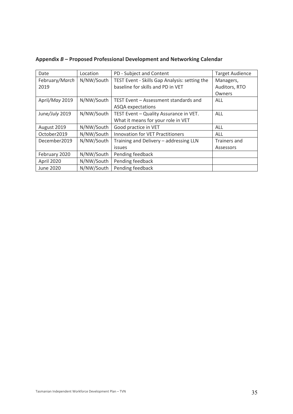| Date           | Location   | PD - Subject and Content                      | <b>Target Audience</b> |
|----------------|------------|-----------------------------------------------|------------------------|
| February/March | N/NW/South | TEST Event - Skills Gap Analysis: setting the | Managers,              |
| 2019           |            | baseline for skills and PD in VET             | Auditors, RTO          |
|                |            |                                               | Owners                 |
| April/May 2019 | N/NW/South | TEST Event - Assessment standards and         | ALL                    |
|                |            | ASQA expectations                             |                        |
| June/July 2019 | N/NW/South | TEST Event - Quality Assurance in VET.        | ALL                    |
|                |            | What it means for your role in VET            |                        |
| August 2019    | N/NW/South | Good practice in VET                          | ALL                    |
| October2019    | N/NW/South | <b>Innovation for VET Practitioners</b>       | ALL                    |
| December2019   | N/NW/South | Training and Delivery - addressing LLN        | Trainers and           |
|                |            | issues                                        | Assessors              |
| February 2020  | N/NW/South | Pending feedback                              |                        |
| April 2020     | N/NW/South | Pending feedback                              |                        |
| June 2020      | N/NW/South | Pending feedback                              |                        |

**Appendix** *B* **– Proposed Professional Development and Networking Calendar**